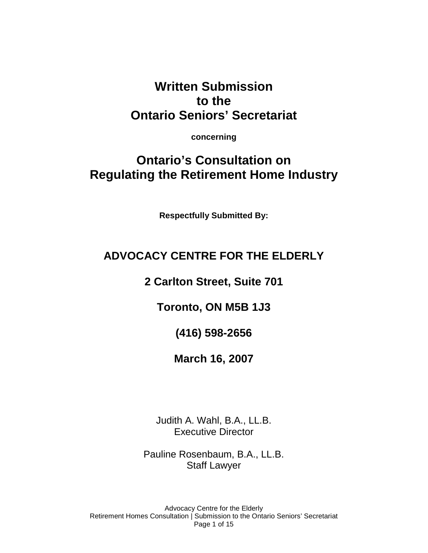## **Written Submission to the Ontario Seniors' Secretariat**

**concerning** 

# **Ontario's Consultation on Regulating the Retirement Home Industry**

**Respectfully Submitted By:** 

## **ADVOCACY CENTRE FOR THE ELDERLY**

**2 Carlton Street, Suite 701** 

**Toronto, ON M5B 1J3** 

**(416) 598-2656** 

**March 16, 2007** 

Judith A. Wahl, B.A., LL.B. Executive Director

Pauline Rosenbaum, B.A., LL.B. Staff Lawyer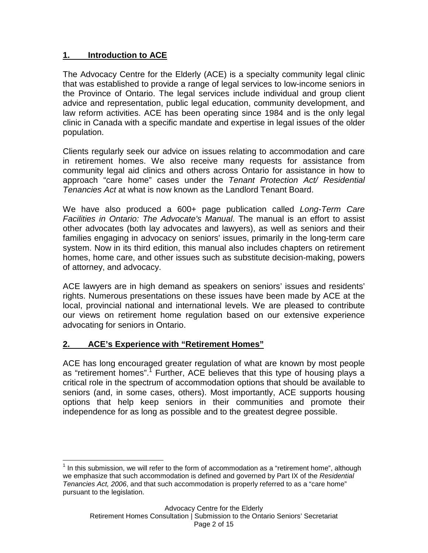#### **1. Introduction to ACE**

The Advocacy Centre for the Elderly (ACE) is a specialty community legal clinic that was established to provide a range of legal services to low-income seniors in the Province of Ontario. The legal services include individual and group client advice and representation, public legal education, community development, and law reform activities. ACE has been operating since 1984 and is the only legal clinic in Canada with a specific mandate and expertise in legal issues of the older population.

Clients regularly seek our advice on issues relating to accommodation and care in retirement homes. We also receive many requests for assistance from community legal aid clinics and others across Ontario for assistance in how to approach "care home" cases under the Tenant Protection Act/ Residential Tenancies Act at what is now known as the Landlord Tenant Board.

We have also produced a 600+ page publication called Long-Term Care Facilities in Ontario: The Advocate's Manual. The manual is an effort to assist other advocates (both lay advocates and lawyers), as well as seniors and their families engaging in advocacy on seniors' issues, primarily in the long-term care system. Now in its third edition, this manual also includes chapters on retirement homes, home care, and other issues such as substitute decision-making, powers of attorney, and advocacy.

ACE lawyers are in high demand as speakers on seniors' issues and residents' rights. Numerous presentations on these issues have been made by ACE at the local, provincial national and international levels. We are pleased to contribute our views on retirement home regulation based on our extensive experience advocating for seniors in Ontario.

## **2. ACE's Experience with "Retirement Homes"**

ACE has long encouraged greater regulation of what are known by most people as "retirement homes".<sup>7</sup> Further, ACE believes that this type of housing plays a critical role in the spectrum of accommodation options that should be available to seniors (and, in some cases, others). Most importantly, ACE supports housing options that help keep seniors in their communities and promote their independence for as long as possible and to the greatest degree possible.

 $\overline{a}$  $1$  In this submission, we will refer to the form of accommodation as a "retirement home", although we emphasize that such accommodation is defined and governed by Part IX of the Residential Tenancies Act, 2006, and that such accommodation is properly referred to as a "care home" pursuant to the legislation.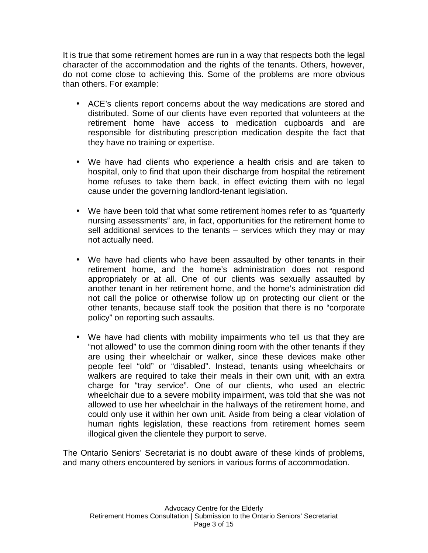It is true that some retirement homes are run in a way that respects both the legal character of the accommodation and the rights of the tenants. Others, however, do not come close to achieving this. Some of the problems are more obvious than others. For example:

- ACE's clients report concerns about the way medications are stored and distributed. Some of our clients have even reported that volunteers at the retirement home have access to medication cupboards and are responsible for distributing prescription medication despite the fact that they have no training or expertise.
- We have had clients who experience a health crisis and are taken to hospital, only to find that upon their discharge from hospital the retirement home refuses to take them back, in effect evicting them with no legal cause under the governing landlord-tenant legislation.
- We have been told that what some retirement homes refer to as "quarterly nursing assessments" are, in fact, opportunities for the retirement home to sell additional services to the tenants – services which they may or may not actually need.
- We have had clients who have been assaulted by other tenants in their retirement home, and the home's administration does not respond appropriately or at all. One of our clients was sexually assaulted by another tenant in her retirement home, and the home's administration did not call the police or otherwise follow up on protecting our client or the other tenants, because staff took the position that there is no "corporate policy" on reporting such assaults.
- We have had clients with mobility impairments who tell us that they are "not allowed" to use the common dining room with the other tenants if they are using their wheelchair or walker, since these devices make other people feel "old" or "disabled". Instead, tenants using wheelchairs or walkers are required to take their meals in their own unit, with an extra charge for "tray service". One of our clients, who used an electric wheelchair due to a severe mobility impairment, was told that she was not allowed to use her wheelchair in the hallways of the retirement home, and could only use it within her own unit. Aside from being a clear violation of human rights legislation, these reactions from retirement homes seem illogical given the clientele they purport to serve.

The Ontario Seniors' Secretariat is no doubt aware of these kinds of problems, and many others encountered by seniors in various forms of accommodation.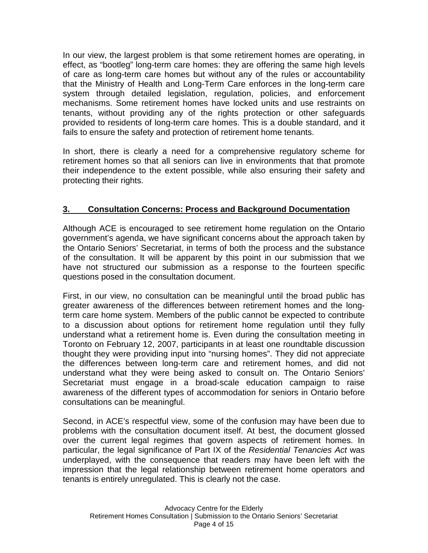In our view, the largest problem is that some retirement homes are operating, in effect, as "bootleg" long-term care homes: they are offering the same high levels of care as long-term care homes but without any of the rules or accountability that the Ministry of Health and Long-Term Care enforces in the long-term care system through detailed legislation, regulation, policies, and enforcement mechanisms. Some retirement homes have locked units and use restraints on tenants, without providing any of the rights protection or other safeguards provided to residents of long-term care homes. This is a double standard, and it fails to ensure the safety and protection of retirement home tenants.

In short, there is clearly a need for a comprehensive regulatory scheme for retirement homes so that all seniors can live in environments that that promote their independence to the extent possible, while also ensuring their safety and protecting their rights.

## **3. Consultation Concerns: Process and Background Documentation**

Although ACE is encouraged to see retirement home regulation on the Ontario government's agenda, we have significant concerns about the approach taken by the Ontario Seniors' Secretariat, in terms of both the process and the substance of the consultation. It will be apparent by this point in our submission that we have not structured our submission as a response to the fourteen specific questions posed in the consultation document.

First, in our view, no consultation can be meaningful until the broad public has greater awareness of the differences between retirement homes and the longterm care home system. Members of the public cannot be expected to contribute to a discussion about options for retirement home regulation until they fully understand what a retirement home is. Even during the consultation meeting in Toronto on February 12, 2007, participants in at least one roundtable discussion thought they were providing input into "nursing homes". They did not appreciate the differences between long-term care and retirement homes, and did not understand what they were being asked to consult on. The Ontario Seniors' Secretariat must engage in a broad-scale education campaign to raise awareness of the different types of accommodation for seniors in Ontario before consultations can be meaningful.

Second, in ACE's respectful view, some of the confusion may have been due to problems with the consultation document itself. At best, the document glossed over the current legal regimes that govern aspects of retirement homes. In particular, the legal significance of Part IX of the Residential Tenancies Act was underplayed, with the consequence that readers may have been left with the impression that the legal relationship between retirement home operators and tenants is entirely unregulated. This is clearly not the case.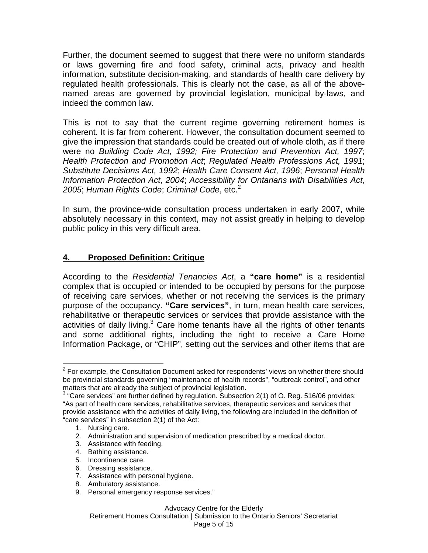Further, the document seemed to suggest that there were no uniform standards or laws governing fire and food safety, criminal acts, privacy and health information, substitute decision-making, and standards of health care delivery by regulated health professionals. This is clearly not the case, as all of the abovenamed areas are governed by provincial legislation, municipal by-laws, and indeed the common law.

This is not to say that the current regime governing retirement homes is coherent. It is far from coherent. However, the consultation document seemed to give the impression that standards could be created out of whole cloth, as if there were no Building Code Act, 1992; Fire Protection and Prevention Act, 1997; Health Protection and Promotion Act; Regulated Health Professions Act, 1991; Substitute Decisions Act, 1992; Health Care Consent Act, 1996; Personal Health Information Protection Act, 2004; Accessibility for Ontarians with Disabilities Act, 2005; Human Rights Code; Criminal Code, etc.<sup>2</sup>

In sum, the province-wide consultation process undertaken in early 2007, while absolutely necessary in this context, may not assist greatly in helping to develop public policy in this very difficult area.

#### **4. Proposed Definition: Critique**

According to the Residential Tenancies Act, a **"care home"** is a residential complex that is occupied or intended to be occupied by persons for the purpose of receiving care services, whether or not receiving the services is the primary purpose of the occupancy. **"Care services"**, in turn, mean health care services, rehabilitative or therapeutic services or services that provide assistance with the activities of daily living. $3$  Care home tenants have all the rights of other tenants and some additional rights, including the right to receive a Care Home Information Package, or "CHIP", setting out the services and other items that are

4. Bathing assistance.

- 6. Dressing assistance.
- 7. Assistance with personal hygiene.
- 8. Ambulatory assistance.
- 9. Personal emergency response services."

Retirement Homes Consultation | Submission to the Ontario Seniors' Secretariat

 $\overline{1}$  $2$  For example, the Consultation Document asked for respondents' views on whether there should be provincial standards governing "maintenance of health records", "outbreak control", and other matters that are already the subject of provincial legislation.

 $3$  "Care services" are further defined by regulation. Subsection 2(1) of O. Reg. 516/06 provides: "As part of health care services, rehabilitative services, therapeutic services and services that provide assistance with the activities of daily living, the following are included in the definition of "care services" in subsection 2(1) of the Act:

<sup>1.</sup> Nursing care.

<sup>2.</sup> Administration and supervision of medication prescribed by a medical doctor.

<sup>3.</sup> Assistance with feeding.

<sup>5.</sup> Incontinence care.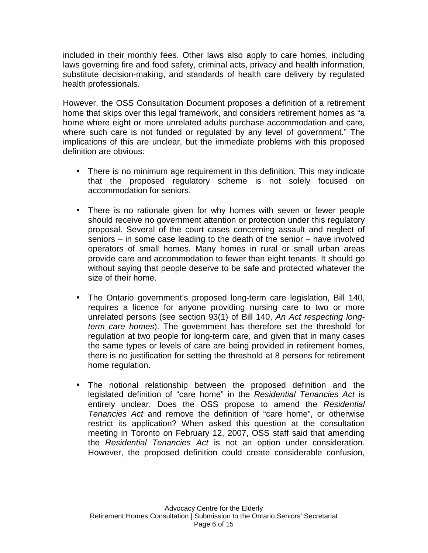included in their monthly fees. Other laws also apply to care homes, including laws governing fire and food safety, criminal acts, privacy and health information, substitute decision-making, and standards of health care delivery by regulated health professionals.

However, the OSS Consultation Document proposes a definition of a retirement home that skips over this legal framework, and considers retirement homes as "a home where eight or more unrelated adults purchase accommodation and care, where such care is not funded or regulated by any level of government." The implications of this are unclear, but the immediate problems with this proposed definition are obvious:

- There is no minimum age requirement in this definition. This may indicate that the proposed regulatory scheme is not solely focused on accommodation for seniors.
- There is no rationale given for why homes with seven or fewer people should receive no government attention or protection under this regulatory proposal. Several of the court cases concerning assault and neglect of seniors – in some case leading to the death of the senior – have involved operators of small homes. Many homes in rural or small urban areas provide care and accommodation to fewer than eight tenants. It should go without saying that people deserve to be safe and protected whatever the size of their home.
- The Ontario government's proposed long-term care legislation, Bill 140, requires a licence for anyone providing nursing care to two or more unrelated persons (see section 93(1) of Bill 140, An Act respecting longterm care homes). The government has therefore set the threshold for regulation at two people for long-term care, and given that in many cases the same types or levels of care are being provided in retirement homes, there is no justification for setting the threshold at 8 persons for retirement home regulation.
- The notional relationship between the proposed definition and the legislated definition of "care home" in the Residential Tenancies Act is entirely unclear. Does the OSS propose to amend the Residential Tenancies Act and remove the definition of "care home", or otherwise restrict its application? When asked this question at the consultation meeting in Toronto on February 12, 2007, OSS staff said that amending the Residential Tenancies Act is not an option under consideration. However, the proposed definition could create considerable confusion,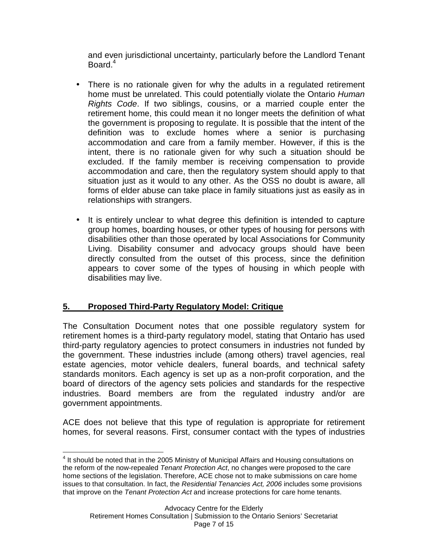and even jurisdictional uncertainty, particularly before the Landlord Tenant Board.<sup>4</sup>

- There is no rationale given for why the adults in a regulated retirement home must be unrelated. This could potentially violate the Ontario Human Rights Code. If two siblings, cousins, or a married couple enter the retirement home, this could mean it no longer meets the definition of what the government is proposing to regulate. It is possible that the intent of the definition was to exclude homes where a senior is purchasing accommodation and care from a family member. However, if this is the intent, there is no rationale given for why such a situation should be excluded. If the family member is receiving compensation to provide accommodation and care, then the regulatory system should apply to that situation just as it would to any other. As the OSS no doubt is aware, all forms of elder abuse can take place in family situations just as easily as in relationships with strangers.
- It is entirely unclear to what degree this definition is intended to capture group homes, boarding houses, or other types of housing for persons with disabilities other than those operated by local Associations for Community Living. Disability consumer and advocacy groups should have been directly consulted from the outset of this process, since the definition appears to cover some of the types of housing in which people with disabilities may live.

## **5. Proposed Third-Party Regulatory Model: Critique**

The Consultation Document notes that one possible regulatory system for retirement homes is a third-party regulatory model, stating that Ontario has used third-party regulatory agencies to protect consumers in industries not funded by the government. These industries include (among others) travel agencies, real estate agencies, motor vehicle dealers, funeral boards, and technical safety standards monitors. Each agency is set up as a non-profit corporation, and the board of directors of the agency sets policies and standards for the respective industries. Board members are from the regulated industry and/or are government appointments.

ACE does not believe that this type of regulation is appropriate for retirement homes, for several reasons. First, consumer contact with the types of industries

 $\overline{a}$ <sup>4</sup> It should be noted that in the 2005 Ministry of Municipal Affairs and Housing consultations on the reform of the now-repealed Tenant Protection Act, no changes were proposed to the care home sections of the legislation. Therefore, ACE chose not to make submissions on care home issues to that consultation. In fact, the Residential Tenancies Act, 2006 includes some provisions that improve on the Tenant Protection Act and increase protections for care home tenants.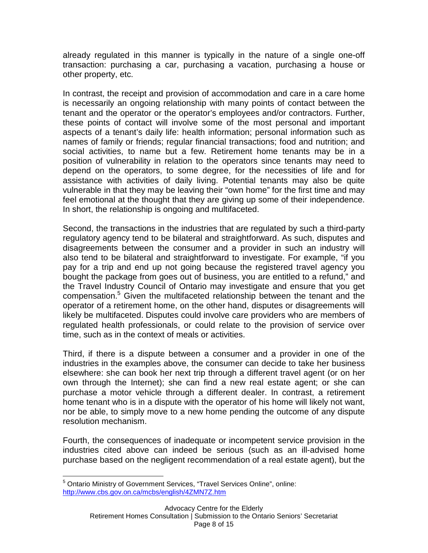already regulated in this manner is typically in the nature of a single one-off transaction: purchasing a car, purchasing a vacation, purchasing a house or other property, etc.

In contrast, the receipt and provision of accommodation and care in a care home is necessarily an ongoing relationship with many points of contact between the tenant and the operator or the operator's employees and/or contractors. Further, these points of contact will involve some of the most personal and important aspects of a tenant's daily life: health information; personal information such as names of family or friends; regular financial transactions; food and nutrition; and social activities, to name but a few. Retirement home tenants may be in a position of vulnerability in relation to the operators since tenants may need to depend on the operators, to some degree, for the necessities of life and for assistance with activities of daily living. Potential tenants may also be quite vulnerable in that they may be leaving their "own home" for the first time and may feel emotional at the thought that they are giving up some of their independence. In short, the relationship is ongoing and multifaceted.

Second, the transactions in the industries that are regulated by such a third-party regulatory agency tend to be bilateral and straightforward. As such, disputes and disagreements between the consumer and a provider in such an industry will also tend to be bilateral and straightforward to investigate. For example, "if you pay for a trip and end up not going because the registered travel agency you bought the package from goes out of business, you are entitled to a refund," and the Travel Industry Council of Ontario may investigate and ensure that you get compensation.<sup>5</sup> Given the multifaceted relationship between the tenant and the operator of a retirement home, on the other hand, disputes or disagreements will likely be multifaceted. Disputes could involve care providers who are members of regulated health professionals, or could relate to the provision of service over time, such as in the context of meals or activities.

Third, if there is a dispute between a consumer and a provider in one of the industries in the examples above, the consumer can decide to take her business elsewhere: she can book her next trip through a different travel agent (or on her own through the Internet); she can find a new real estate agent; or she can purchase a motor vehicle through a different dealer. In contrast, a retirement home tenant who is in a dispute with the operator of his home will likely not want, nor be able, to simply move to a new home pending the outcome of any dispute resolution mechanism.

Fourth, the consequences of inadequate or incompetent service provision in the industries cited above can indeed be serious (such as an ill-advised home purchase based on the negligent recommendation of a real estate agent), but the

 $\overline{a}$ <sup>5</sup> Ontario Ministry of Government Services, "Travel Services Online", online: http://www.cbs.gov.on.ca/mcbs/english/4ZMN7Z.htm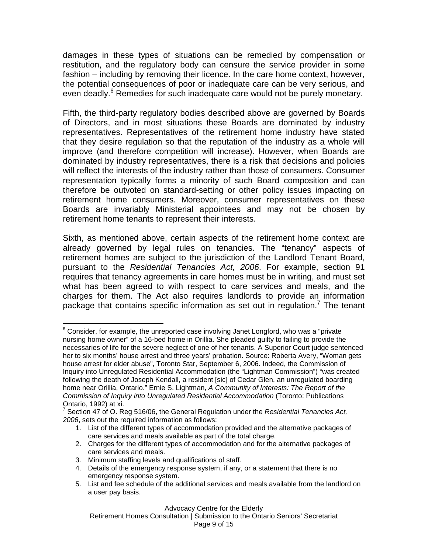damages in these types of situations can be remedied by compensation or restitution, and the regulatory body can censure the service provider in some fashion – including by removing their licence. In the care home context, however, the potential consequences of poor or inadequate care can be very serious, and even deadly.<sup>6</sup> Remedies for such inadequate care would not be purely monetary.

Fifth, the third-party regulatory bodies described above are governed by Boards of Directors, and in most situations these Boards are dominated by industry representatives. Representatives of the retirement home industry have stated that they desire regulation so that the reputation of the industry as a whole will improve (and therefore competition will increase). However, when Boards are dominated by industry representatives, there is a risk that decisions and policies will reflect the interests of the industry rather than those of consumers. Consumer representation typically forms a minority of such Board composition and can therefore be outvoted on standard-setting or other policy issues impacting on retirement home consumers. Moreover, consumer representatives on these Boards are invariably Ministerial appointees and may not be chosen by retirement home tenants to represent their interests.

Sixth, as mentioned above, certain aspects of the retirement home context are already governed by legal rules on tenancies. The "tenancy" aspects of retirement homes are subject to the jurisdiction of the Landlord Tenant Board, pursuant to the Residential Tenancies Act, 2006. For example, section 91 requires that tenancy agreements in care homes must be in writing, and must set what has been agreed to with respect to care services and meals, and the charges for them. The Act also requires landlords to provide an information package that contains specific information as set out in regulation.<sup>7</sup> The tenant

<sup>1</sup>  $6$  Consider, for example, the unreported case involving Janet Longford, who was a "private nursing home owner" of a 16-bed home in Orillia. She pleaded guilty to failing to provide the necessaries of life for the severe neglect of one of her tenants. A Superior Court judge sentenced her to six months' house arrest and three years' probation. Source: Roberta Avery, "Woman gets house arrest for elder abuse", Toronto Star, September 6, 2006. Indeed, the Commission of Inquiry into Unregulated Residential Accommodation (the "Lightman Commission") "was created following the death of Joseph Kendall, a resident [sic] of Cedar Glen, an unregulated boarding home near Orillia, Ontario." Ernie S. Lightman, A Community of Interests: The Report of the Commission of Inquiry into Unregulated Residential Accommodation (Toronto: Publications Ontario, 1992) at xi.

<sup>7</sup> Section 47 of O. Reg 516/06, the General Regulation under the Residential Tenancies Act, 2006, sets out the required information as follows:

<sup>1.</sup> List of the different types of accommodation provided and the alternative packages of care services and meals available as part of the total charge.

<sup>2.</sup> Charges for the different types of accommodation and for the alternative packages of care services and meals.

<sup>3.</sup> Minimum staffing levels and qualifications of staff.

<sup>4.</sup> Details of the emergency response system, if any, or a statement that there is no emergency response system.

<sup>5.</sup> List and fee schedule of the additional services and meals available from the landlord on a user pay basis.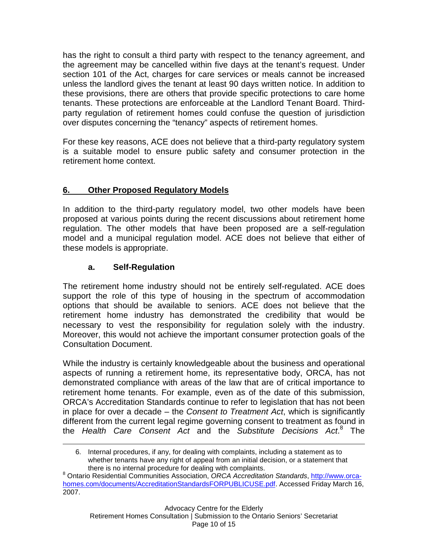has the right to consult a third party with respect to the tenancy agreement, and the agreement may be cancelled within five days at the tenant's request. Under section 101 of the Act, charges for care services or meals cannot be increased unless the landlord gives the tenant at least 90 days written notice. In addition to these provisions, there are others that provide specific protections to care home tenants. These protections are enforceable at the Landlord Tenant Board. Thirdparty regulation of retirement homes could confuse the question of jurisdiction over disputes concerning the "tenancy" aspects of retirement homes.

For these key reasons, ACE does not believe that a third-party regulatory system is a suitable model to ensure public safety and consumer protection in the retirement home context.

## **6. Other Proposed Regulatory Models**

In addition to the third-party regulatory model, two other models have been proposed at various points during the recent discussions about retirement home regulation. The other models that have been proposed are a self-regulation model and a municipal regulation model. ACE does not believe that either of these models is appropriate.

## **a. Self-Regulation**

 $\overline{a}$ 

The retirement home industry should not be entirely self-regulated. ACE does support the role of this type of housing in the spectrum of accommodation options that should be available to seniors. ACE does not believe that the retirement home industry has demonstrated the credibility that would be necessary to vest the responsibility for regulation solely with the industry. Moreover, this would not achieve the important consumer protection goals of the Consultation Document.

While the industry is certainly knowledgeable about the business and operational aspects of running a retirement home, its representative body, ORCA, has not demonstrated compliance with areas of the law that are of critical importance to retirement home tenants. For example, even as of the date of this submission, ORCA's Accreditation Standards continue to refer to legislation that has not been in place for over a decade  $-$  the *Consent to Treatment Act*, which is significantly different from the current legal regime governing consent to treatment as found in the Health Care Consent Act and the Substitute Decisions Act.<sup>8</sup> The

<sup>6.</sup> Internal procedures, if any, for dealing with complaints, including a statement as to whether tenants have any right of appeal from an initial decision, or a statement that there is no internal procedure for dealing with complaints.

<sup>&</sup>lt;sup>8</sup> Ontario Residential Communities Association, ORCA Accreditation Standards, http://www.orcahomes.com/documents/AccreditationStandardsFORPUBLICUSE.pdf. Accessed Friday March 16, 2007.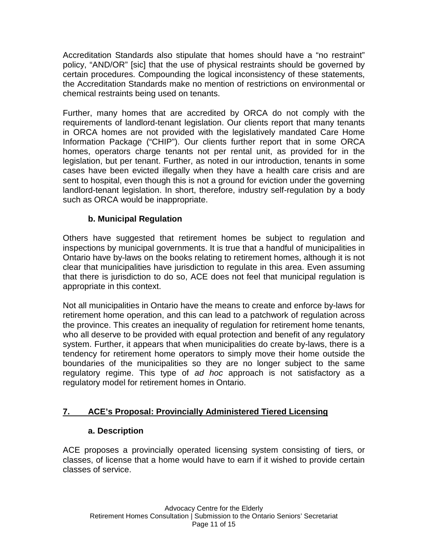Accreditation Standards also stipulate that homes should have a "no restraint" policy, "AND/OR" [sic] that the use of physical restraints should be governed by certain procedures. Compounding the logical inconsistency of these statements, the Accreditation Standards make no mention of restrictions on environmental or chemical restraints being used on tenants.

Further, many homes that are accredited by ORCA do not comply with the requirements of landlord-tenant legislation. Our clients report that many tenants in ORCA homes are not provided with the legislatively mandated Care Home Information Package ("CHIP"). Our clients further report that in some ORCA homes, operators charge tenants not per rental unit, as provided for in the legislation, but per tenant. Further, as noted in our introduction, tenants in some cases have been evicted illegally when they have a health care crisis and are sent to hospital, even though this is not a ground for eviction under the governing landlord-tenant legislation. In short, therefore, industry self-regulation by a body such as ORCA would be inappropriate.

## **b. Municipal Regulation**

Others have suggested that retirement homes be subject to regulation and inspections by municipal governments. It is true that a handful of municipalities in Ontario have by-laws on the books relating to retirement homes, although it is not clear that municipalities have jurisdiction to regulate in this area. Even assuming that there is jurisdiction to do so, ACE does not feel that municipal regulation is appropriate in this context.

Not all municipalities in Ontario have the means to create and enforce by-laws for retirement home operation, and this can lead to a patchwork of regulation across the province. This creates an inequality of regulation for retirement home tenants, who all deserve to be provided with equal protection and benefit of any regulatory system. Further, it appears that when municipalities do create by-laws, there is a tendency for retirement home operators to simply move their home outside the boundaries of the municipalities so they are no longer subject to the same regulatory regime. This type of ad hoc approach is not satisfactory as a regulatory model for retirement homes in Ontario.

## **7. ACE's Proposal: Provincially Administered Tiered Licensing**

#### **a. Description**

ACE proposes a provincially operated licensing system consisting of tiers, or classes, of license that a home would have to earn if it wished to provide certain classes of service.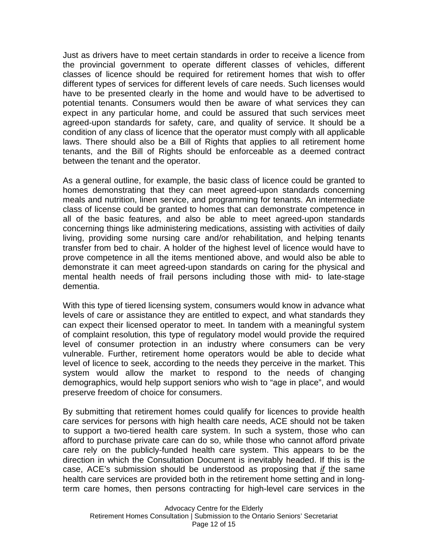Just as drivers have to meet certain standards in order to receive a licence from the provincial government to operate different classes of vehicles, different classes of licence should be required for retirement homes that wish to offer different types of services for different levels of care needs. Such licenses would have to be presented clearly in the home and would have to be advertised to potential tenants. Consumers would then be aware of what services they can expect in any particular home, and could be assured that such services meet agreed-upon standards for safety, care, and quality of service. It should be a condition of any class of licence that the operator must comply with all applicable laws. There should also be a Bill of Rights that applies to all retirement home tenants, and the Bill of Rights should be enforceable as a deemed contract between the tenant and the operator.

As a general outline, for example, the basic class of licence could be granted to homes demonstrating that they can meet agreed-upon standards concerning meals and nutrition, linen service, and programming for tenants. An intermediate class of license could be granted to homes that can demonstrate competence in all of the basic features, and also be able to meet agreed-upon standards concerning things like administering medications, assisting with activities of daily living, providing some nursing care and/or rehabilitation, and helping tenants transfer from bed to chair. A holder of the highest level of licence would have to prove competence in all the items mentioned above, and would also be able to demonstrate it can meet agreed-upon standards on caring for the physical and mental health needs of frail persons including those with mid- to late-stage dementia.

With this type of tiered licensing system, consumers would know in advance what levels of care or assistance they are entitled to expect, and what standards they can expect their licensed operator to meet. In tandem with a meaningful system of complaint resolution, this type of regulatory model would provide the required level of consumer protection in an industry where consumers can be very vulnerable. Further, retirement home operators would be able to decide what level of licence to seek, according to the needs they perceive in the market. This system would allow the market to respond to the needs of changing demographics, would help support seniors who wish to "age in place", and would preserve freedom of choice for consumers.

By submitting that retirement homes could qualify for licences to provide health care services for persons with high health care needs, ACE should not be taken to support a two-tiered health care system. In such a system, those who can afford to purchase private care can do so, while those who cannot afford private care rely on the publicly-funded health care system. This appears to be the direction in which the Consultation Document is inevitably headed. If this is the case, ACE's submission should be understood as proposing that if the same health care services are provided both in the retirement home setting and in longterm care homes, then persons contracting for high-level care services in the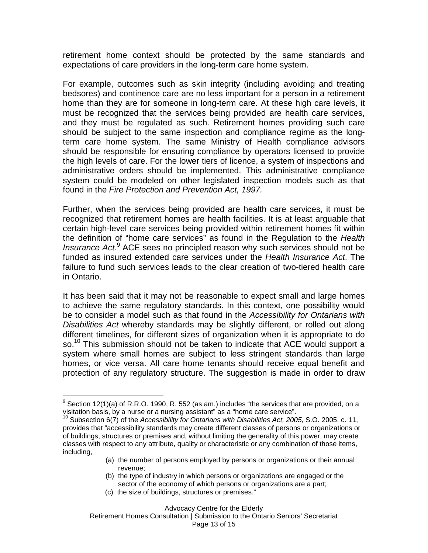retirement home context should be protected by the same standards and expectations of care providers in the long-term care home system.

For example, outcomes such as skin integrity (including avoiding and treating bedsores) and continence care are no less important for a person in a retirement home than they are for someone in long-term care. At these high care levels, it must be recognized that the services being provided are health care services, and they must be regulated as such. Retirement homes providing such care should be subject to the same inspection and compliance regime as the longterm care home system. The same Ministry of Health compliance advisors should be responsible for ensuring compliance by operators licensed to provide the high levels of care. For the lower tiers of licence, a system of inspections and administrative orders should be implemented. This administrative compliance system could be modeled on other legislated inspection models such as that found in the Fire Protection and Prevention Act, 1997.

Further, when the services being provided are health care services, it must be recognized that retirement homes are health facilities. It is at least arguable that certain high-level care services being provided within retirement homes fit within the definition of "home care services" as found in the Regulation to the Health Insurance Act.<sup>9</sup> ACE sees no principled reason why such services should not be funded as insured extended care services under the Health Insurance Act. The failure to fund such services leads to the clear creation of two-tiered health care in Ontario.

It has been said that it may not be reasonable to expect small and large homes to achieve the same regulatory standards. In this context, one possibility would be to consider a model such as that found in the Accessibility for Ontarians with Disabilities Act whereby standards may be slightly different, or rolled out along different timelines, for different sizes of organization when it is appropriate to do so.<sup>10</sup> This submission should not be taken to indicate that ACE would support a system where small homes are subject to less stringent standards than large homes, or vice versa. All care home tenants should receive equal benefit and protection of any regulatory structure. The suggestion is made in order to draw

- (a) the number of persons employed by persons or organizations or their annual revenue;
- (b) the type of industry in which persons or organizations are engaged or the sector of the economy of which persons or organizations are a part;
- (c) the size of buildings, structures or premises."

 9 Section 12(1)(a) of R.R.O. 1990, R. 552 (as am.) includes "the services that are provided, on a visitation basis, by a nurse or a nursing assistant" as a "home care service".

 $10$  Subsection 6(7) of the Accessibility for Ontarians with Disabilities Act, 2005, S.O. 2005, c. 11, provides that "accessibility standards may create different classes of persons or organizations or of buildings, structures or premises and, without limiting the generality of this power, may create classes with respect to any attribute, quality or characteristic or any combination of those items, including,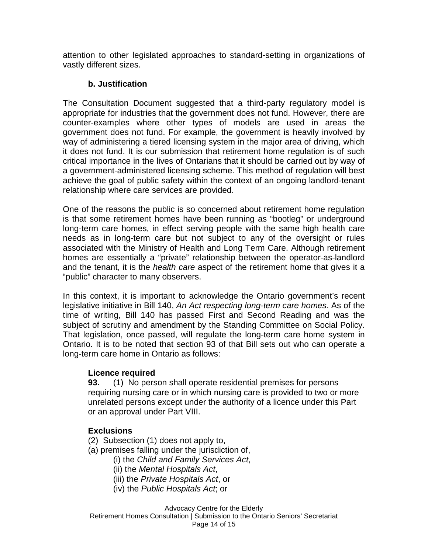attention to other legislated approaches to standard-setting in organizations of vastly different sizes.

#### **b. Justification**

The Consultation Document suggested that a third-party regulatory model is appropriate for industries that the government does not fund. However, there are counter-examples where other types of models are used in areas the government does not fund. For example, the government is heavily involved by way of administering a tiered licensing system in the major area of driving, which it does not fund. It is our submission that retirement home regulation is of such critical importance in the lives of Ontarians that it should be carried out by way of a government-administered licensing scheme. This method of regulation will best achieve the goal of public safety within the context of an ongoing landlord-tenant relationship where care services are provided.

One of the reasons the public is so concerned about retirement home regulation is that some retirement homes have been running as "bootleg" or underground long-term care homes, in effect serving people with the same high health care needs as in long-term care but not subject to any of the oversight or rules associated with the Ministry of Health and Long Term Care. Although retirement homes are essentially a "private" relationship between the operator-as-landlord and the tenant, it is the *health care* aspect of the retirement home that gives it a "public" character to many observers.

In this context, it is important to acknowledge the Ontario government's recent legislative initiative in Bill 140, An Act respecting long-term care homes. As of the time of writing, Bill 140 has passed First and Second Reading and was the subject of scrutiny and amendment by the Standing Committee on Social Policy. That legislation, once passed, will regulate the long-term care home system in Ontario. It is to be noted that section 93 of that Bill sets out who can operate a long-term care home in Ontario as follows:

#### **Licence required**

**93.** (1) No person shall operate residential premises for persons requiring nursing care or in which nursing care is provided to two or more unrelated persons except under the authority of a licence under this Part or an approval under Part VIII.

#### **Exclusions**

- (2) Subsection (1) does not apply to,
- (a) premises falling under the jurisdiction of,
	- (i) the Child and Family Services Act,
	- (ii) the Mental Hospitals Act,
	- (iii) the Private Hospitals Act, or
	- (iv) the Public Hospitals Act; or

Advocacy Centre for the Elderly Retirement Homes Consultation | Submission to the Ontario Seniors' Secretariat Page 14 of 15